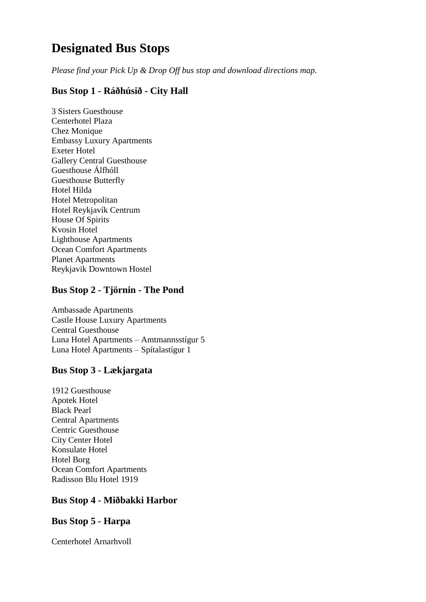# **Designated Bus Stops**

*Please find your Pick Up & Drop Off bus stop and download directions map.*

## **Bus Stop 1 - Ráðhúsið - City Hall**

3 Sisters Guesthouse Centerhotel Plaza Chez Monique Embassy Luxury Apartments Exeter Hotel Gallery Central Guesthouse Guesthouse Álfhóll Guesthouse Butterfly Hotel Hilda Hotel Metropolitan Hotel Reykjavík Centrum House Of Spirits Kvosin Hotel Lighthouse Apartments Ocean Comfort Apartments Planet Apartments Reykjavik Downtown Hostel

## **Bus Stop 2 - Tjörnin - The Pond**

Ambassade Apartments Castle House Luxury Apartments Central Guesthouse Luna Hotel Apartments – Amtmannsstígur 5 Luna Hotel Apartments – Spítalastígur 1

## **Bus Stop 3 - Lækjargata**

1912 Guesthouse Apotek Hotel Black Pearl Central Apartments Centric Guesthouse City Center Hotel Konsulate Hotel Hotel Borg Ocean Comfort Apartments Radisson Blu Hotel 1919

## **Bus Stop 4 - Miðbakki Harbor**

## **Bus Stop 5 - Harpa**

Centerhotel Arnarhvoll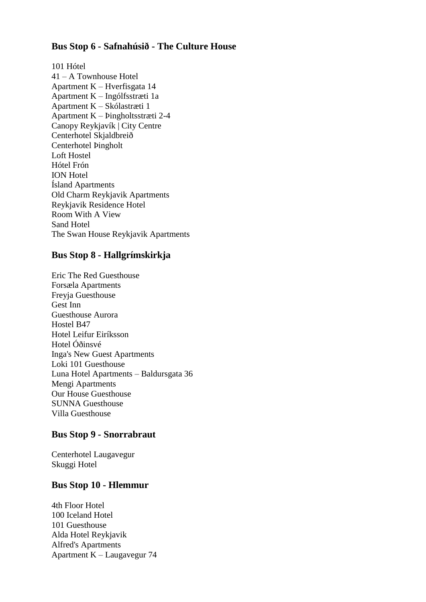#### **Bus Stop 6 - Safnahúsið - The Culture House**

101 Hótel 41 – A Townhouse Hotel Apartment K – Hverfisgata 14 Apartment K – Ingólfsstræti 1a Apartment K – Skólastræti 1 Apartment K – Þingholtsstræti 2-4 Canopy Reykjavík | City Centre Centerhotel Skjaldbreið Centerhotel Þingholt Loft Hostel Hótel Frón ION Hotel Ísland Apartments Old Charm Reykjavik Apartments Reykjavik Residence Hotel Room With A View Sand Hotel The Swan House Reykjavik Apartments

## **Bus Stop 8 - Hallgrímskirkja**

Eric The Red Guesthouse Forsæla Apartments Freyja Guesthouse Gest Inn Guesthouse Aurora Hostel B47 Hotel Leifur Eiríksson Hotel Óðinsvé Inga's New Guest Apartments Loki 101 Guesthouse Luna Hotel Apartments – Baldursgata 36 Mengi Apartments Our House Guesthouse SUNNA Guesthouse Villa Guesthouse

## **Bus Stop 9 - Snorrabraut**

Centerhotel Laugavegur Skuggi Hotel

#### **Bus Stop 10 - Hlemmur**

4th Floor Hotel 100 Iceland Hotel 101 Guesthouse Alda Hotel Reykjavik Alfred's Apartments Apartment K – Laugavegur 74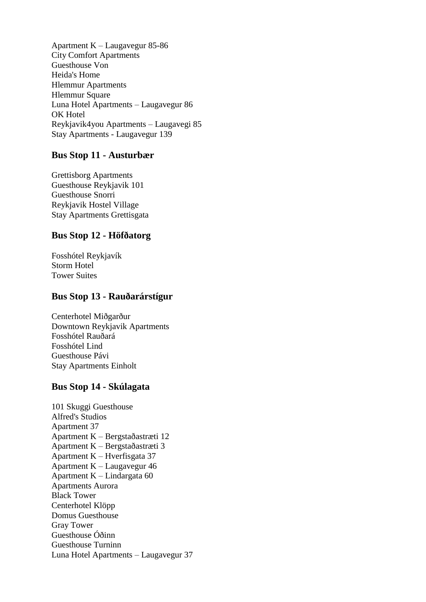Apartment K – Laugavegur 85-86 City Comfort Apartments Guesthouse Von Heida's Home Hlemmur Apartments Hlemmur Square Luna Hotel Apartments – Laugavegur 86 OK Hotel Reykjavik4you Apartments – Laugavegi 85 Stay Apartments - Laugavegur 139

#### **Bus Stop 11 - Austurbær**

Grettisborg Apartments Guesthouse Reykjavik 101 Guesthouse Snorri Reykjavik Hostel Village Stay Apartments Grettisgata

#### **Bus Stop 12 - Höfðatorg**

Fosshótel Reykjavík Storm Hotel Tower Suites

#### **Bus Stop 13 - Rauðarárstígur**

Centerhotel Miðgarður Downtown Reykjavik Apartments Fosshótel Rauðará Fosshótel Lind Guesthouse Pávi Stay Apartments Einholt

#### **Bus Stop 14 - Skúlagata**

101 Skuggi Guesthouse Alfred's Studios Apartment 37 Apartment K – Bergstaðastræti 12 Apartment K – Bergstaðastræti 3 Apartment K – Hverfisgata 37 Apartment K – Laugavegur 46 Apartment K – Lindargata 60 Apartments Aurora Black Tower Centerhotel Klöpp Domus Guesthouse Gray Tower Guesthouse Óðinn Guesthouse Turninn Luna Hotel Apartments – Laugavegur 37